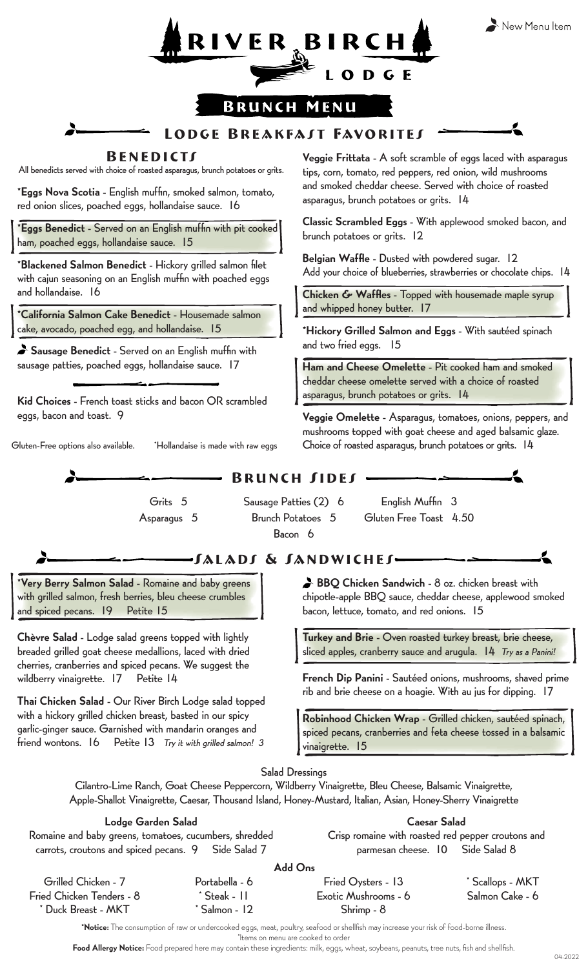



# **BRUNCH MENU**

## LODGE BREAKFAJT FAVORITES

## **BENEDICTS**

All benedicts served with choice of roasted asparagus, brunch potatoes or grits.

\*Eggs Nova Scotia - English muffin, smoked salmon, tomato, red onion slices, poached eggs, hollandaise sauce. 16

\*Eggs Benedict - Served on an English muffin with pit cooked ham, poached eggs, hollandaise sauce. 15

\*Blackened Salmon Benedict - Hickory grilled salmon filet with cajun seasoning on an English muffin with poached eggs and hollandaise. 16

\*California Salmon Cake Benedict - Housemade salmon cake, avocado, poached egg, and hollandaise. 15

 $\clubsuit$  Sausage Benedict - Served on an English muffin with sausage patties, poached eggs, hollandaise sauce. 17

Kid Choices - French toast sticks and bacon OR scrambled eggs, bacon and toast. 9

Gluten-Free options also available. <sup>\*</sup>Hollandaise is made with raw eggs

Veggie Frittata - A soft scramble of eggs laced with asparagus tips, corn, tomato, red peppers, red onion, wild mushrooms and smoked cheddar cheese. Served with choice of roasted asparagus, brunch potatoes or grits. 14

Classic Scrambled Eggs - With applewood smoked bacon, and brunch potatoes or grits. 12

Belgian Waffle - Dusted with powdered sugar. 12 Add your choice of blueberries, strawberries or chocolate chips. 14

Chicken & Waffles - Topped with housemade maple syrup and whipped honey butter. 17

\*Hickory Grilled Salmon and Eggs - With sautéed spinach and two fried eggs. 15

Ham and Cheese Omelette - Pit cooked ham and smoked cheddar cheese omelette served with a choice of roasted asparagus, brunch potatoes or grits. 14

Veggie Omelette - Asparagus, tomatoes, onions, peppers, and mushrooms topped with goat cheese and aged balsamic glaze. Choice of roasted asparagus, brunch potatoes or grits. 14

## Grits 5 Asparagus 5

Sausage Patties (2) 6 Brunch Potatoes 5 Bacon 6

SALADS & SANDWICHES.

BRUNCH SIDES

English Muffin 3 Gluten Free Toast 4.50

\*Very Berry Salmon Salad - Romaine and baby greens with grilled salmon, fresh berries, bleu cheese crumbles and spiced pecans. 19 Petite 15

Chèvre Salad - Lodge salad greens topped with lightly breaded grilled goat cheese medallions, laced with dried cherries, cranberries and spiced pecans. We suggest the wildberry vinaigrette. 17 Petite 14

Thai Chicken Salad - Our River Birch Lodge salad topped with a hickory grilled chicken breast, basted in our spicy garlic-ginger sauce. Garnished with mandarin oranges and friend wontons. 16 Petite 13 Try it with grilled salmon! 3

BBQ Chicken Sandwich - 8 oz. chicken breast with chipotle-apple BBQ sauce, cheddar cheese, applewood smoked bacon, lettuce, tomato, and red onions. 15

Turkey and Brie - Oven roasted turkey breast, brie cheese, sliced apples, cranberry sauce and arugula. 14 Try as a Panini!

French Dip Panini - Sautéed onions, mushrooms, shaved prime rib and brie cheese on a hoagie. With au jus for dipping. 17

Robinhood Chicken Wrap - Grilled chicken, sautéed spinach, spiced pecans, cranberries and feta cheese tossed in a balsamic vinaigrette. 15

Salad Dressings

Cilantro-Lime Ranch, Goat Cheese Peppercorn, Wildberry Vinaigrette, Bleu Cheese, Balsamic Vinaigrette, Apple-Shallot Vinaigrette, Caesar, Thousand Island, Honey-Mustard, Italian, Asian, Honey-Sherry Vinaigrette

### Lodge Garden Salad

Romaine and baby greens, tomatoes, cucumbers, shredded carrots, croutons and spiced pecans. 9 Side Salad 7

Caesar Salad Crisp romaine with roasted red pepper croutons and parmesan cheese. 10 Side Salad 8

### Add Ons

Grilled Chicken - 7 Fried Chicken Tenders - 8 \* Duck Breast - MKT Portabella - 6 \* Steak - 11 \* Salmon - 12 Fried Oysters - 13 Exotic Mushrooms - 6 Shrimp - 8 \* Scallops - MKT Salmon Cake - 6

\*Notice: The consumption of raw or undercooked eggs, meat, poultry, seafood or shellfish may increase your risk of food-borne illness. \*Items on menu are cooked to order

Food Allergy Notice: Food prepared here may contain these ingredients: milk, eggs, wheat, soybeans, peanuts, tree nuts, fish and shellfish.